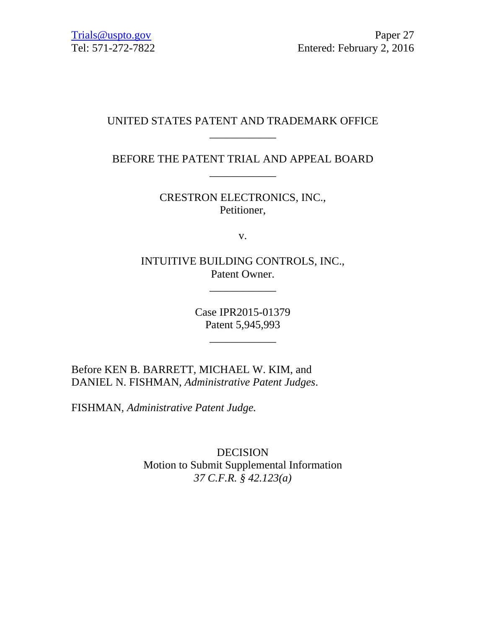# UNITED STATES PATENT AND TRADEMARK OFFICE \_\_\_\_\_\_\_\_\_\_\_\_

BEFORE THE PATENT TRIAL AND APPEAL BOARD \_\_\_\_\_\_\_\_\_\_\_\_

> CRESTRON ELECTRONICS, INC., Petitioner,

> > v.

INTUITIVE BUILDING CONTROLS, INC., Patent Owner.

\_\_\_\_\_\_\_\_\_\_\_\_

Case IPR2015-01379 Patent 5,945,993

\_\_\_\_\_\_\_\_\_\_\_\_

Before KEN B. BARRETT, MICHAEL W. KIM, and DANIEL N. FISHMAN, *Administrative Patent Judges*.

FISHMAN, *Administrative Patent Judge.* 

DECISION Motion to Submit Supplemental Information *37 C.F.R. § 42.123(a)*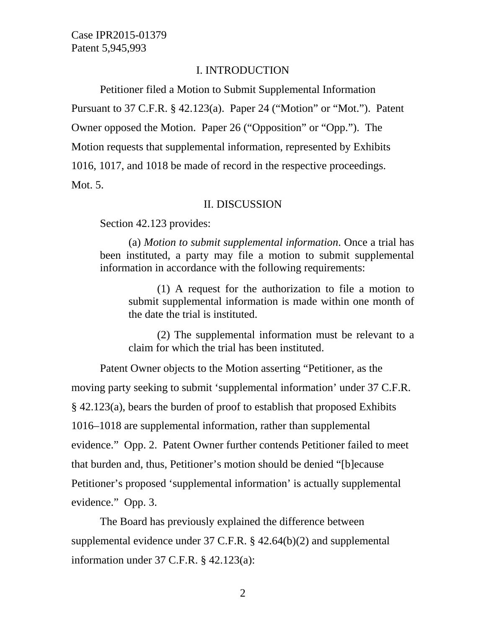### I. INTRODUCTION

Petitioner filed a Motion to Submit Supplemental Information Pursuant to 37 C.F.R. § 42.123(a). Paper 24 ("Motion" or "Mot."). Patent Owner opposed the Motion. Paper 26 ("Opposition" or "Opp."). The Motion requests that supplemental information, represented by Exhibits 1016, 1017, and 1018 be made of record in the respective proceedings. Mot. 5.

### II. DISCUSSION

Section 42.123 provides:

 (a) *Motion to submit supplemental information*. Once a trial has been instituted, a party may file a motion to submit supplemental information in accordance with the following requirements:

 (1) A request for the authorization to file a motion to submit supplemental information is made within one month of the date the trial is instituted.

 (2) The supplemental information must be relevant to a claim for which the trial has been instituted.

Patent Owner objects to the Motion asserting "Petitioner, as the moving party seeking to submit 'supplemental information' under 37 C.F.R. § 42.123(a), bears the burden of proof to establish that proposed Exhibits 1016–1018 are supplemental information, rather than supplemental evidence." Opp. 2. Patent Owner further contends Petitioner failed to meet that burden and, thus, Petitioner's motion should be denied "[b]ecause Petitioner's proposed 'supplemental information' is actually supplemental evidence." Opp. 3.

The Board has previously explained the difference between supplemental evidence under 37 C.F.R. § 42.64(b)(2) and supplemental information under 37 C.F.R. § 42.123(a):

2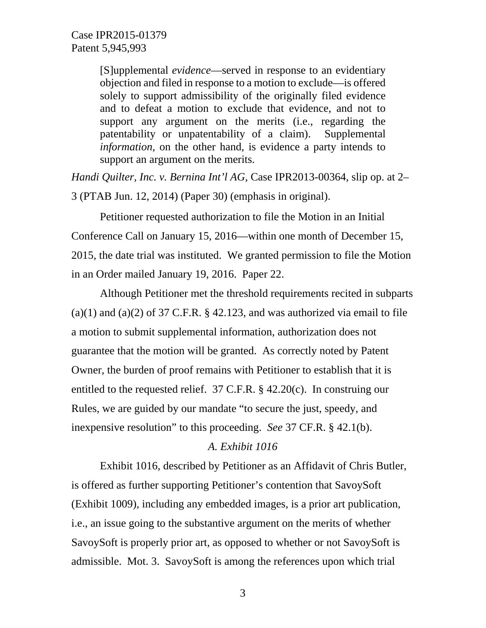[S]upplemental *evidence*—served in response to an evidentiary objection and filed in response to a motion to exclude—is offered solely to support admissibility of the originally filed evidence and to defeat a motion to exclude that evidence, and not to support any argument on the merits (i.e., regarding the patentability or unpatentability of a claim). Supplemental *information*, on the other hand, is evidence a party intends to support an argument on the merits.

*Handi Quilter, Inc. v. Bernina Int'l AG*, Case IPR2013-00364, slip op. at 2– 3 (PTAB Jun. 12, 2014) (Paper 30) (emphasis in original).

Petitioner requested authorization to file the Motion in an Initial Conference Call on January 15, 2016—within one month of December 15, 2015, the date trial was instituted. We granted permission to file the Motion in an Order mailed January 19, 2016. Paper 22.

Although Petitioner met the threshold requirements recited in subparts  $(a)(1)$  and  $(a)(2)$  of 37 C.F.R. § 42.123, and was authorized via email to file a motion to submit supplemental information, authorization does not guarantee that the motion will be granted. As correctly noted by Patent Owner, the burden of proof remains with Petitioner to establish that it is entitled to the requested relief. 37 C.F.R. § 42.20(c). In construing our Rules, we are guided by our mandate "to secure the just, speedy, and inexpensive resolution" to this proceeding. *See* 37 CF.R. § 42.1(b).

### *A. Exhibit 1016*

Exhibit 1016, described by Petitioner as an Affidavit of Chris Butler, is offered as further supporting Petitioner's contention that SavoySoft (Exhibit 1009), including any embedded images, is a prior art publication, i.e., an issue going to the substantive argument on the merits of whether SavoySoft is properly prior art, as opposed to whether or not SavoySoft is admissible. Mot. 3. SavoySoft is among the references upon which trial

3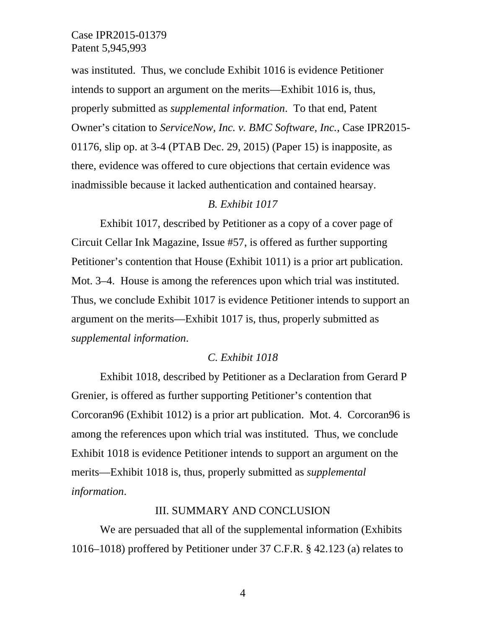was instituted. Thus, we conclude Exhibit 1016 is evidence Petitioner intends to support an argument on the merits—Exhibit 1016 is, thus, properly submitted as *supplemental information*. To that end, Patent Owner's citation to *ServiceNow, Inc. v. BMC Software, Inc.*, Case IPR2015- 01176, slip op. at 3-4 (PTAB Dec. 29, 2015) (Paper 15) is inapposite, as there, evidence was offered to cure objections that certain evidence was inadmissible because it lacked authentication and contained hearsay.

### *B. Exhibit 1017*

Exhibit 1017, described by Petitioner as a copy of a cover page of Circuit Cellar Ink Magazine, Issue #57, is offered as further supporting Petitioner's contention that House (Exhibit 1011) is a prior art publication. Mot. 3–4. House is among the references upon which trial was instituted. Thus, we conclude Exhibit 1017 is evidence Petitioner intends to support an argument on the merits—Exhibit 1017 is, thus, properly submitted as *supplemental information*.

### *C. Exhibit 1018*

Exhibit 1018, described by Petitioner as a Declaration from Gerard P Grenier, is offered as further supporting Petitioner's contention that Corcoran96 (Exhibit 1012) is a prior art publication. Mot. 4. Corcoran96 is among the references upon which trial was instituted. Thus, we conclude Exhibit 1018 is evidence Petitioner intends to support an argument on the merits—Exhibit 1018 is, thus, properly submitted as *supplemental information*.

## III. SUMMARY AND CONCLUSION

We are persuaded that all of the supplemental information (Exhibits 1016–1018) proffered by Petitioner under 37 C.F.R. § 42.123 (a) relates to

4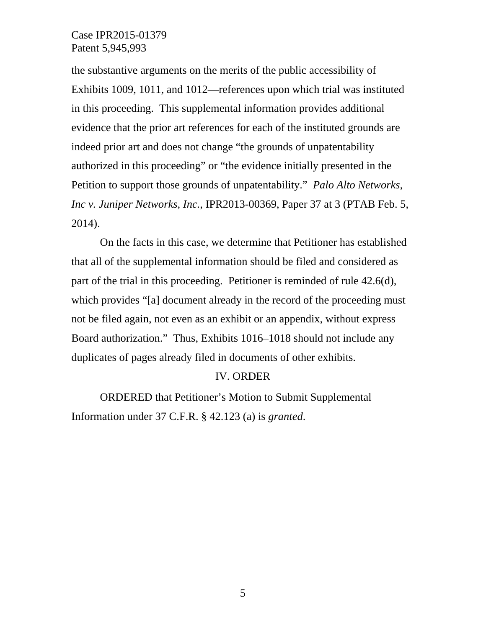the substantive arguments on the merits of the public accessibility of Exhibits 1009, 1011, and 1012—references upon which trial was instituted in this proceeding. This supplemental information provides additional evidence that the prior art references for each of the instituted grounds are indeed prior art and does not change "the grounds of unpatentability authorized in this proceeding" or "the evidence initially presented in the Petition to support those grounds of unpatentability." *Palo Alto Networks, Inc v. Juniper Networks, Inc.*, IPR2013-00369, Paper 37 at 3 (PTAB Feb. 5, 2014).

On the facts in this case, we determine that Petitioner has established that all of the supplemental information should be filed and considered as part of the trial in this proceeding. Petitioner is reminded of rule 42.6(d), which provides "[a] document already in the record of the proceeding must not be filed again, not even as an exhibit or an appendix, without express Board authorization." Thus, Exhibits 1016–1018 should not include any duplicates of pages already filed in documents of other exhibits.

### IV. ORDER

ORDERED that Petitioner's Motion to Submit Supplemental Information under 37 C.F.R. § 42.123 (a) is *granted*.